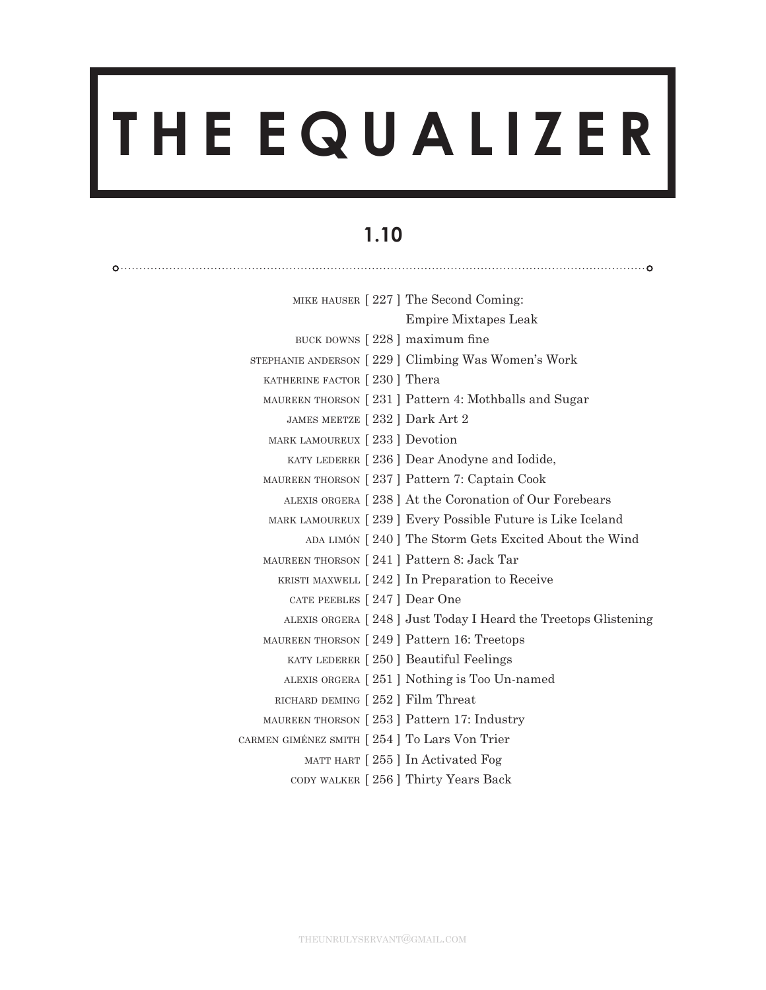# **T H E E Q U A L I Z E R**

# **1.10**

|                                              | MIKE HAUSER [227] The Second Coming:                           |
|----------------------------------------------|----------------------------------------------------------------|
|                                              | <b>Empire Mixtapes Leak</b>                                    |
| BUCK DOWNS [228] maximum fine                |                                                                |
|                                              | STEPHANIE ANDERSON [229] Climbing Was Women's Work             |
| KATHERINE FACTOR [230] Thera                 |                                                                |
|                                              | MAUREEN THORSON [231] Pattern 4: Mothballs and Sugar           |
| JAMES MEETZE [232 ] Dark Art 2               |                                                                |
| MARK LAMOUREUX [233 ] Devotion               |                                                                |
|                                              | KATY LEDERER [236] Dear Anodyne and Iodide,                    |
|                                              | MAUREEN THORSON [237] Pattern 7: Captain Cook                  |
|                                              | ALEXIS ORGERA [238] At the Coronation of Our Forebears         |
|                                              | MARK LAMOUREUX [239] Every Possible Future is Like Iceland     |
|                                              | ADA LIMÓN [240] The Storm Gets Excited About the Wind          |
| MAUREEN THORSON [241] Pattern 8: Jack Tar    |                                                                |
|                                              | KRISTI MAXWELL [242] In Preparation to Receive                 |
| CATE PEEBLES [247] Dear One                  |                                                                |
|                                              | ALEXIS ORGERA [248] Just Today I Heard the Treetops Glistening |
| MAUREEN THORSON [249] Pattern 16: Treetops   |                                                                |
|                                              | KATY LEDERER [250] Beautiful Feelings                          |
|                                              | ALEXIS ORGERA [251] Nothing is Too Un-named                    |
| RICHARD DEMING [252] Film Threat             |                                                                |
| MAUREEN THORSON [253] Pattern 17: Industry   |                                                                |
| CARMEN GIMÉNEZ SMITH [254] To Lars Von Trier |                                                                |
|                                              | MATT HART [255] In Activated Fog                               |
|                                              | CODY WALKER [256] Thirty Years Back                            |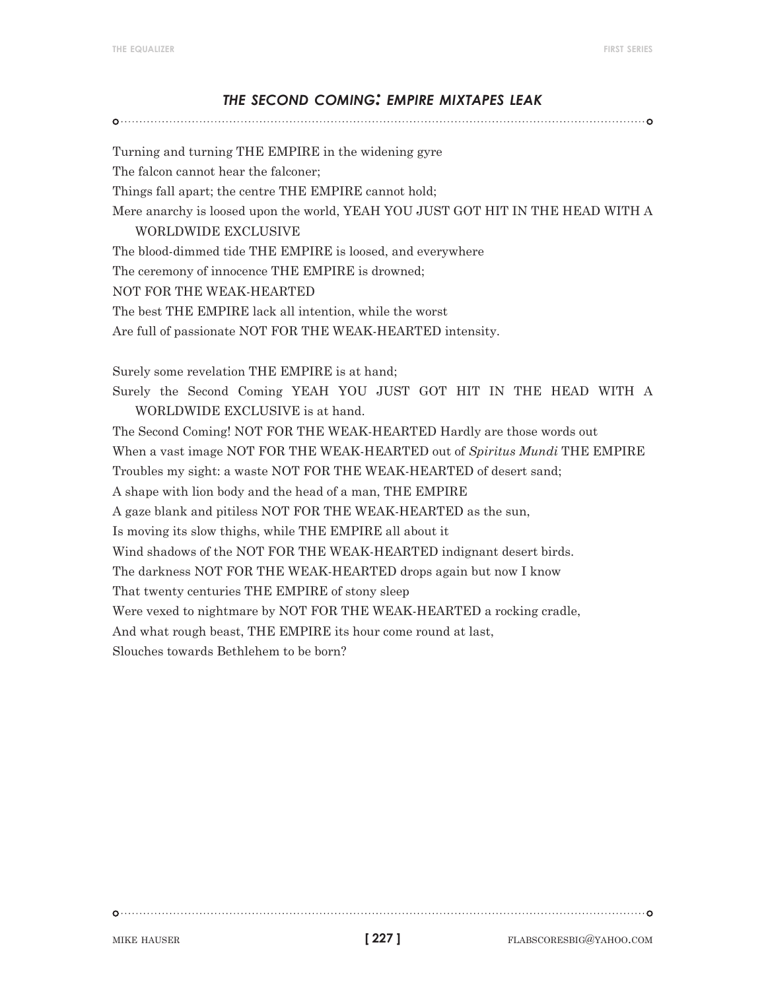## *the second coming: empire mixtapes leak*

Turning and turning THE EMPIRE in the widening gyre The falcon cannot hear the falconer; Things fall apart; the centre THE EMPIRE cannot hold; Mere anarchy is loosed upon the world, YEAH YOU JUST GOT HIT IN THE HEAD WITH A WORLDWIDE EXCLUSIVE The blood-dimmed tide THE EMPIRE is loosed, and everywhere The ceremony of innocence THE EMPIRE is drowned; NOT FOR THE WEAK-HEARTED The best THE EMPIRE lack all intention, while the worst Are full of passionate NOT FOR THE WEAK-HEARTED intensity. Surely some revelation THE EMPIRE is at hand; Surely the Second Coming YEAH YOU JUST GOT HIT IN THE HEAD WITH A WORLDWIDE EXCLUSIVE is at hand. The Second Coming! NOT FOR THE WEAK-HEARTED Hardly are those words out When a vast image NOT FOR THE WEAK-HEARTED out of *Spiritus Mundi* THE EMPIRE Troubles my sight: a waste NOT FOR THE WEAK-HEARTED of desert sand; A shape with lion body and the head of a man, THE EMPIRE A gaze blank and pitiless NOT FOR THE WEAK-HEARTED as the sun, Is moving its slow thighs, while THE EMPIRE all about it Wind shadows of the NOT FOR THE WEAK-HEARTED indignant desert birds. The darkness NOT FOR THE WEAK-HEARTED drops again but now I know That twenty centuries THE EMPIRE of stony sleep Were vexed to nightmare by NOT FOR THE WEAK-HEARTED a rocking cradle, And what rough beast, THE EMPIRE its hour come round at last, Slouches towards Bethlehem to be born?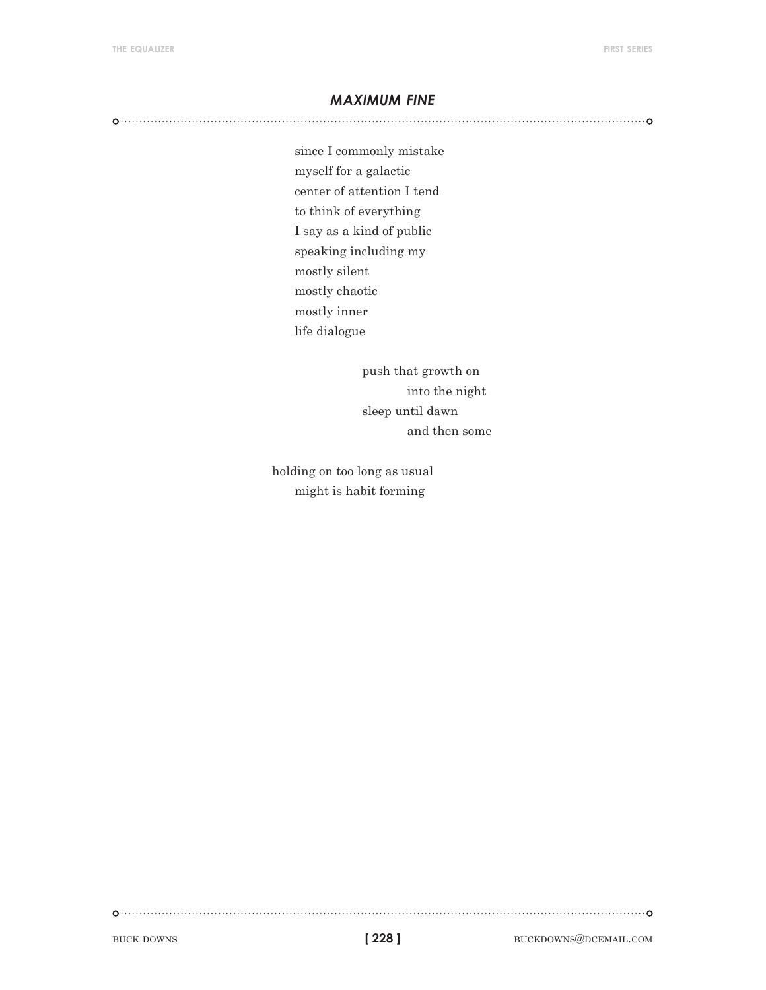#### *maximum fine*

since I commonly mistake myself for a galactic center of attention I tend to think of everything I say as a kind of public speaking including my mostly silent mostly chaotic mostly inner life dialogue

> push that growth on into the night sleep until dawn and then some

holding on too long as usual might is habit forming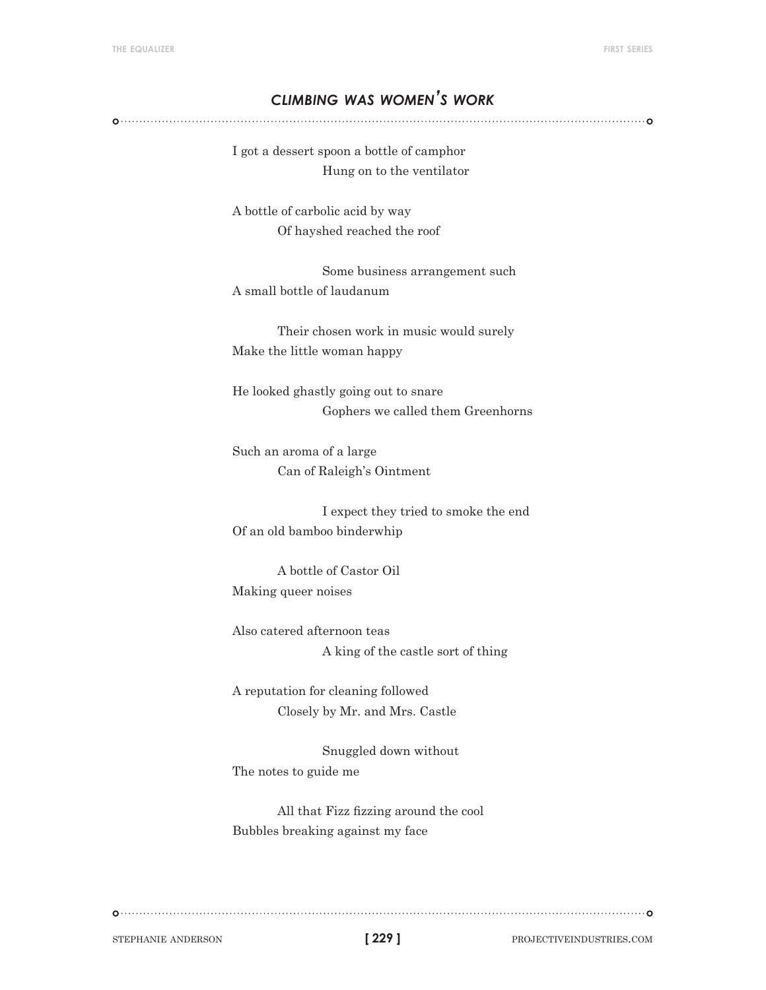# *climbing was women's work*

I got a dessert spoon a bottle of camphor Hung on to the ventilator

A bottle of carbolic acid by way Of hayshed reached the roof

 Some business arrangement such A small bottle of laudanum

Their chosen work in music would surely Make the little woman happy

He looked ghastly going out to snare Gophers we called them Greenhorns

Such an aroma of a large Can of Raleigh's Ointment

 I expect they tried to smoke the end Of an old bamboo binderwhip

A bottle of Castor Oil Making queer noises

Also catered afternoon teas A king of the castle sort of thing

A reputation for cleaning followed Closely by Mr. and Mrs. Castle

 Snuggled down without The notes to guide me

All that Fizz fizzing around the cool Bubbles breaking against my face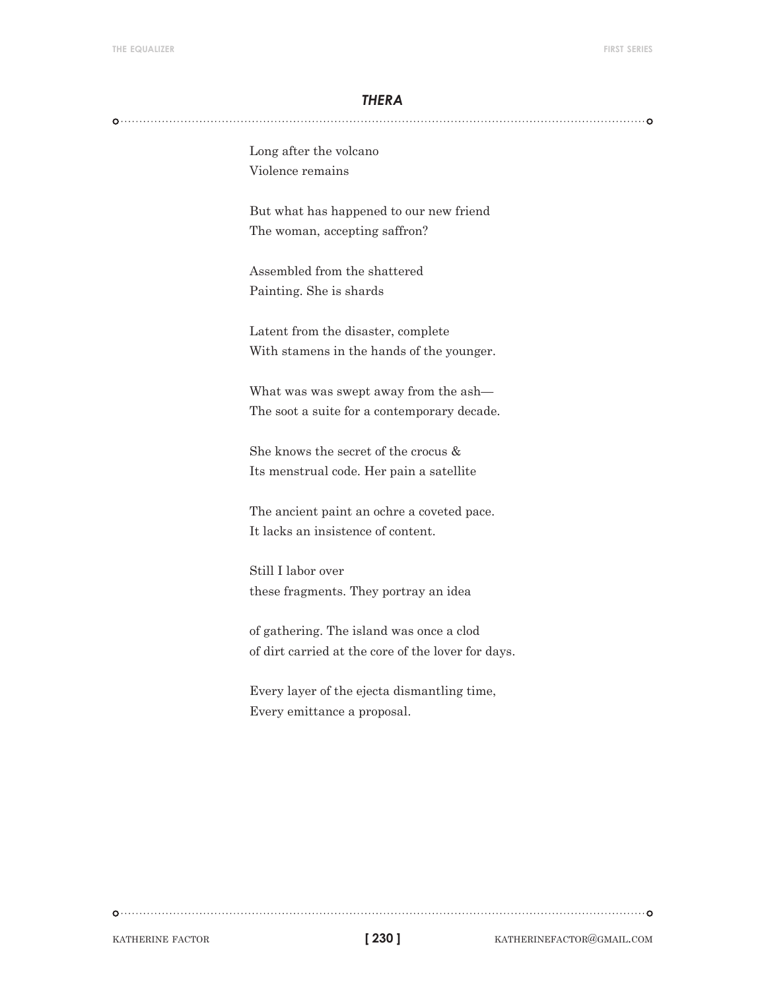#### *thera*

Long after the volcano Violence remains

But what has happened to our new friend The woman, accepting saffron?

Assembled from the shattered Painting. She is shards

Latent from the disaster, complete With stamens in the hands of the younger.

What was was swept away from the ash— The soot a suite for a contemporary decade.

She knows the secret of the crocus & Its menstrual code. Her pain a satellite

The ancient paint an ochre a coveted pace. It lacks an insistence of content.

Still I labor over these fragments. They portray an idea

of gathering. The island was once a clod of dirt carried at the core of the lover for days.

Every layer of the ejecta dismantling time, Every emittance a proposal.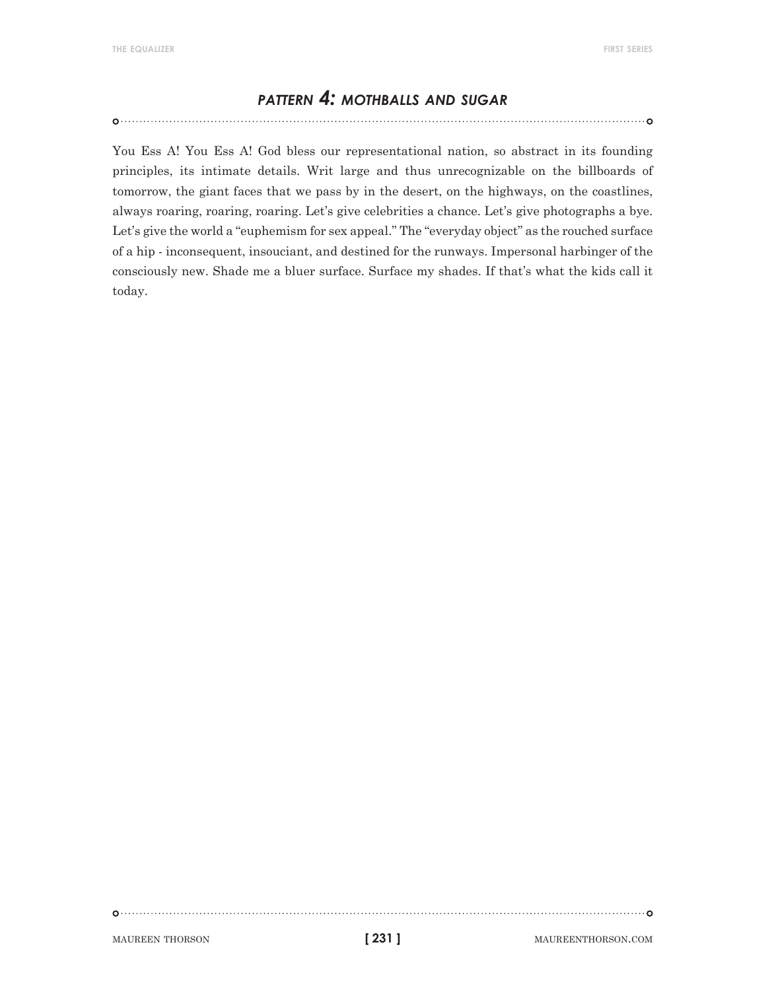# *pattern 4: mothballs and sugar*

You Ess A! You Ess A! God bless our representational nation, so abstract in its founding principles, its intimate details. Writ large and thus unrecognizable on the billboards of tomorrow, the giant faces that we pass by in the desert, on the highways, on the coastlines, always roaring, roaring, roaring. Let's give celebrities a chance. Let's give photographs a bye. Let's give the world a "euphemism for sex appeal." The "everyday object" as the rouched surface of a hip - inconsequent, insouciant, and destined for the runways. Impersonal harbinger of the consciously new. Shade me a bluer surface. Surface my shades. If that's what the kids call it today.

MAUREEN THORSON **1231** MAUREENTHORSON.COM

```
[ 231 ]
```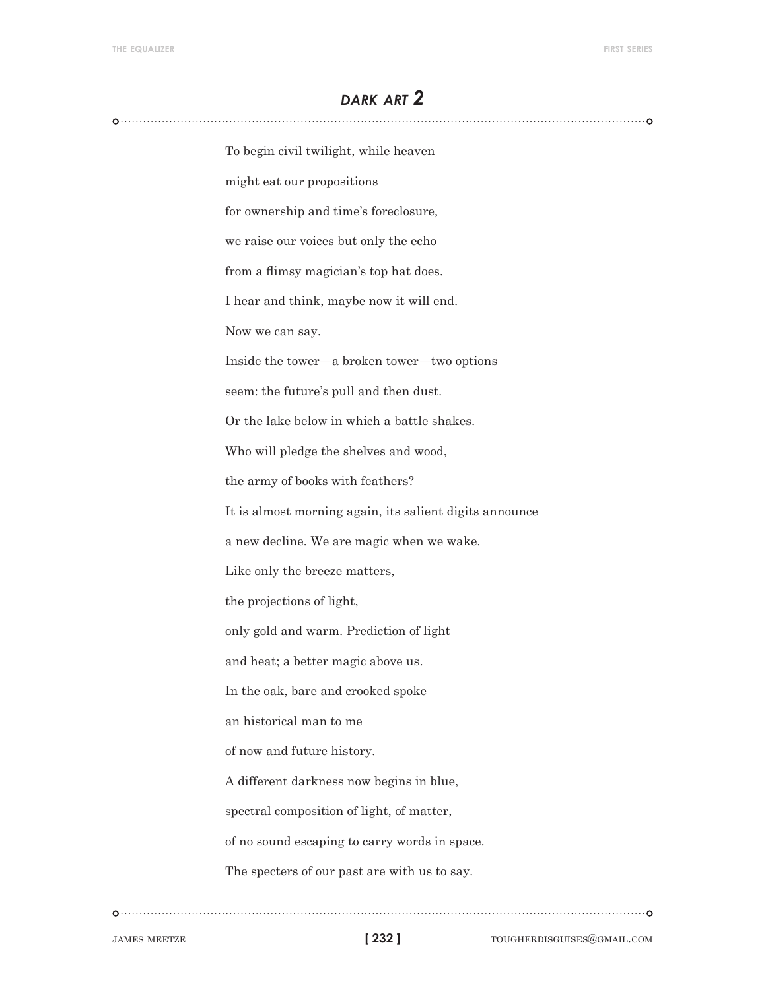# *dark art 2*

| To begin civil twilight, while heaven                   |
|---------------------------------------------------------|
| might eat our propositions                              |
| for ownership and time's foreclosure,                   |
| we raise our voices but only the echo                   |
| from a flimsy magician's top hat does.                  |
| I hear and think, maybe now it will end.                |
| Now we can say.                                         |
| Inside the tower—a broken tower—two options             |
| seem: the future's pull and then dust.                  |
| Or the lake below in which a battle shakes.             |
| Who will pledge the shelves and wood,                   |
| the army of books with feathers?                        |
| It is almost morning again, its salient digits announce |
| a new decline. We are magic when we wake.               |
| Like only the breeze matters,                           |
| the projections of light,                               |
| only gold and warm. Prediction of light                 |
| and heat; a better magic above us.                      |
| In the oak, bare and crooked spoke                      |
| an historical man to me                                 |
| of now and future history.                              |
| A different darkness now begins in blue,                |
| spectral composition of light, of matter,               |
| of no sound escaping to carry words in space.           |
| The specters of our past are with us to say.            |
|                                                         |

**[ 232 ]**

 $\begin{picture}(100,100)(0,0) \put(0,0){\vector(1,0){100}} \put(10,0){\vector(1,0){100}} \put(10,0){\vector(1,0){100}} \put(10,0){\vector(1,0){100}} \put(10,0){\vector(1,0){100}} \put(10,0){\vector(1,0){100}} \put(10,0){\vector(1,0){100}} \put(10,0){\vector(1,0){100}} \put(10,0){\vector(1,0){100}} \put(10,0){\vector(1,0){100}} \put(10,0){\vector(1,0$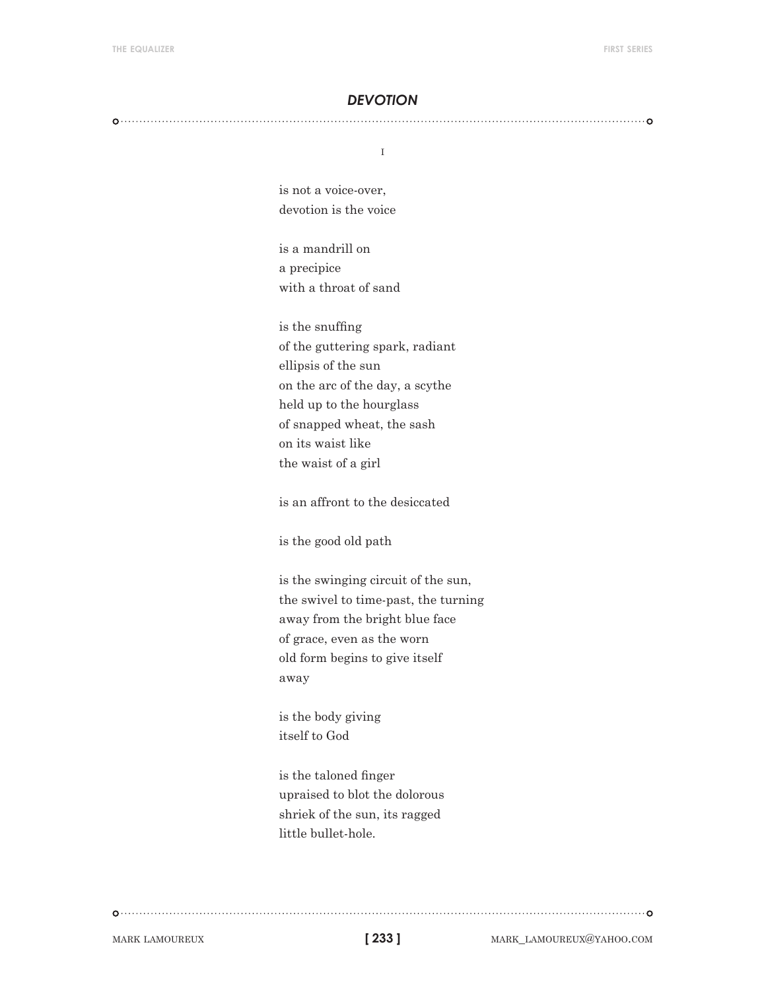#### *devotion*

i

is not a voice-over, devotion is the voice

is a mandrill on a precipice with a throat of sand

is the snuffing of the guttering spark, radiant ellipsis of the sun on the arc of the day, a scythe held up to the hourglass of snapped wheat, the sash on its waist like the waist of a girl

is an affront to the desiccated

is the good old path

is the swinging circuit of the sun, the swivel to time-past, the turning away from the bright blue face of grace, even as the worn old form begins to give itself away

is the body giving itself to God

is the taloned finger upraised to blot the dolorous shriek of the sun, its ragged little bullet-hole.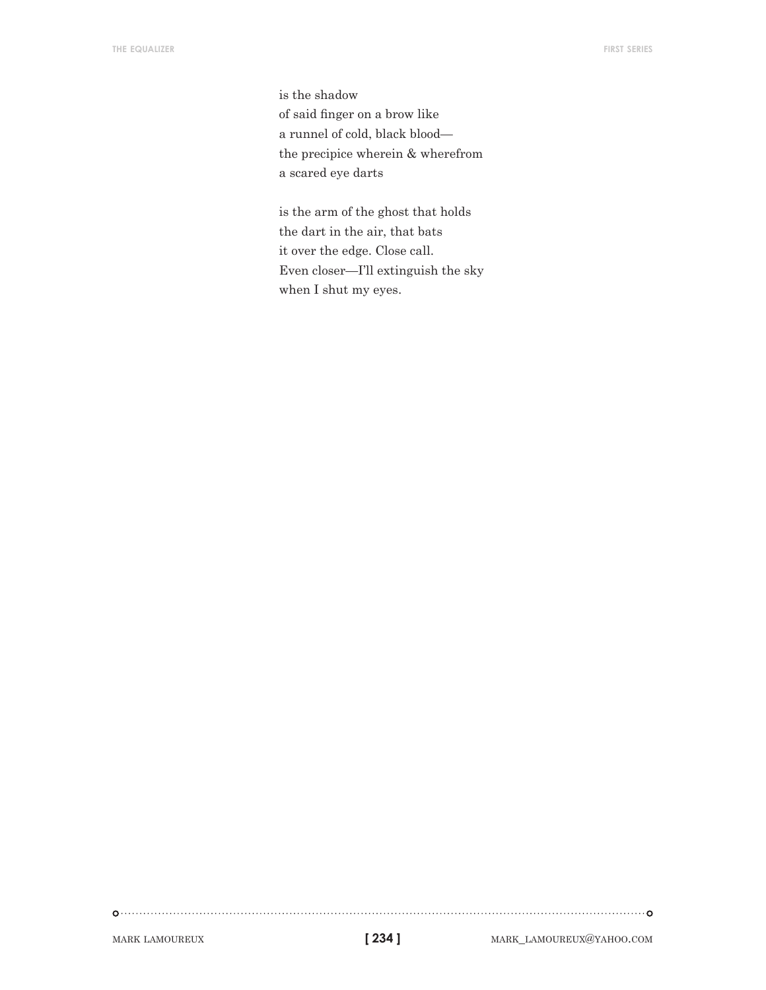is the shadow of said finger on a brow like a runnel of cold, black blood the precipice wherein & wherefrom a scared eye darts

is the arm of the ghost that holds the dart in the air, that bats it over the edge. Close call. Even closer—I'll extinguish the sky when I shut my eyes.

```
[ 234 ]
```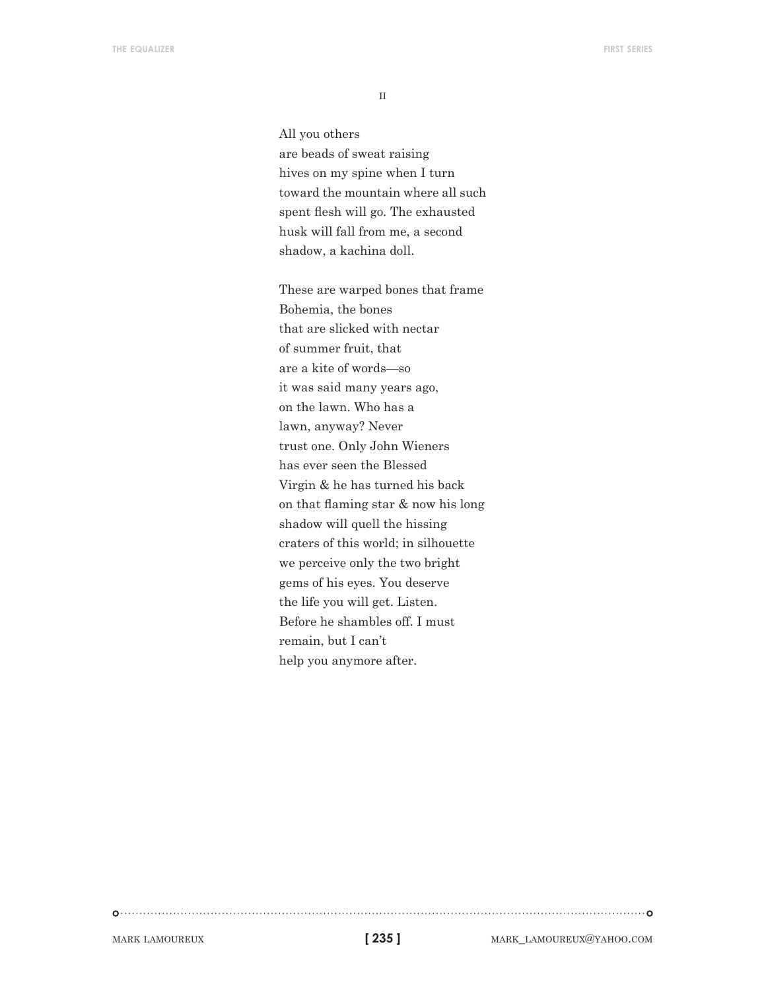$\rm II$ 

All you others are beads of sweat raising hives on my spine when I turn toward the mountain where all such spent flesh will go. The exhausted husk will fall from me, a second shadow, a kachina doll.

These are warped bones that frame Bohemia, the bones that are slicked with nectar of summer fruit, that are a kite of words—so it was said many years ago, on the lawn. Who has a lawn, anyway? Never trust one. Only John Wieners has ever seen the Blessed Virgin & he has turned his back on that flaming star & now his long shadow will quell the hissing craters of this world; in silhouette we perceive only the two bright gems of his eyes. You deserve the life you will get. Listen. Before he shambles off. I must remain, but I can't help you anymore after.

**[ 235 ]**

mark lamoureux mark\_lamoureux@yahoo.com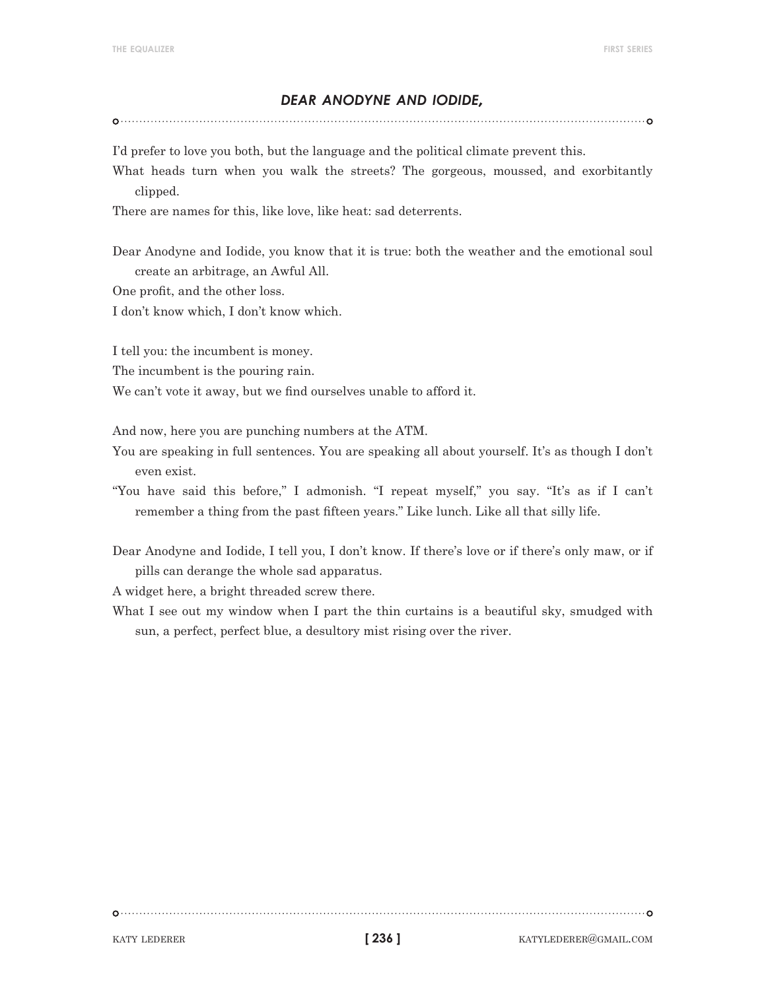#### *dear anodyne and iodide,*

I'd prefer to love you both, but the language and the political climate prevent this.

What heads turn when you walk the streets? The gorgeous, moussed, and exorbitantly clipped.

There are names for this, like love, like heat: sad deterrents.

Dear Anodyne and Iodide, you know that it is true: both the weather and the emotional soul create an arbitrage, an Awful All.

One profit, and the other loss.

I don't know which, I don't know which.

I tell you: the incumbent is money.

The incumbent is the pouring rain.

We can't vote it away, but we find ourselves unable to afford it.

And now, here you are punching numbers at the ATM.

- You are speaking in full sentences. You are speaking all about yourself. It's as though I don't even exist.
- "You have said this before," I admonish. "I repeat myself," you say. "It's as if I can't remember a thing from the past fifteen years." Like lunch. Like all that silly life.
- Dear Anodyne and Iodide, I tell you, I don't know. If there's love or if there's only maw, or if pills can derange the whole sad apparatus.

A widget here, a bright threaded screw there.

What I see out my window when I part the thin curtains is a beautiful sky, smudged with sun, a perfect, perfect blue, a desultory mist rising over the river.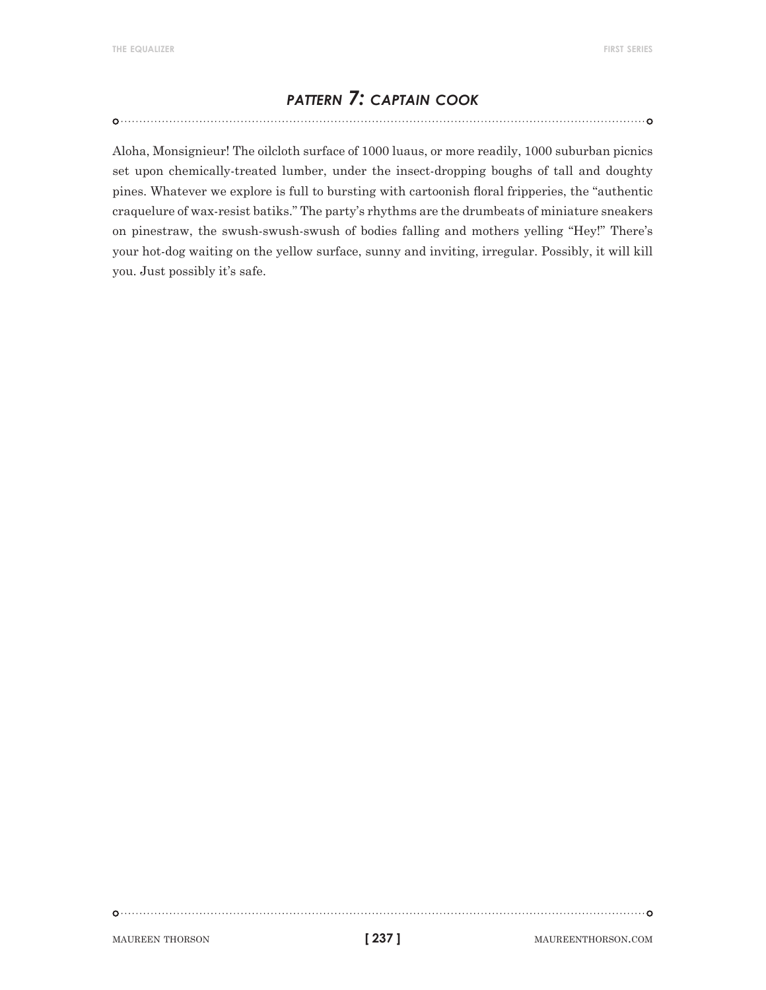# *pattern 7: captain cook*

Aloha, Monsignieur! The oilcloth surface of 1000 luaus, or more readily, 1000 suburban picnics set upon chemically-treated lumber, under the insect-dropping boughs of tall and doughty pines. Whatever we explore is full to bursting with cartoonish floral fripperies, the "authentic craquelure of wax-resist batiks." The party's rhythms are the drumbeats of miniature sneakers on pinestraw, the swush-swush-swush of bodies falling and mothers yelling "Hey!" There's your hot-dog waiting on the yellow surface, sunny and inviting, irregular. Possibly, it will kill you. Just possibly it's safe.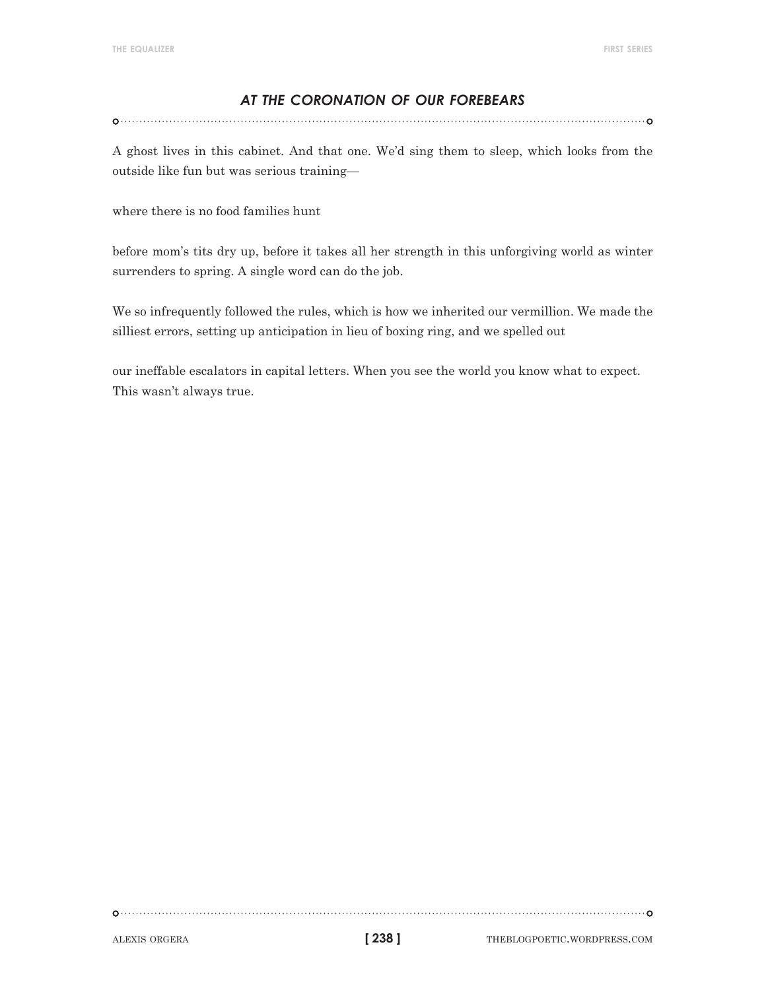# *at the coronation of our forebears*

A ghost lives in this cabinet. And that one. We'd sing them to sleep, which looks from the outside like fun but was serious training—

where there is no food families hunt

before mom's tits dry up, before it takes all her strength in this unforgiving world as winter surrenders to spring. A single word can do the job.

We so infrequently followed the rules, which is how we inherited our vermillion. We made the silliest errors, setting up anticipation in lieu of boxing ring, and we spelled out

our ineffable escalators in capital letters. When you see the world you know what to expect. This wasn't always true.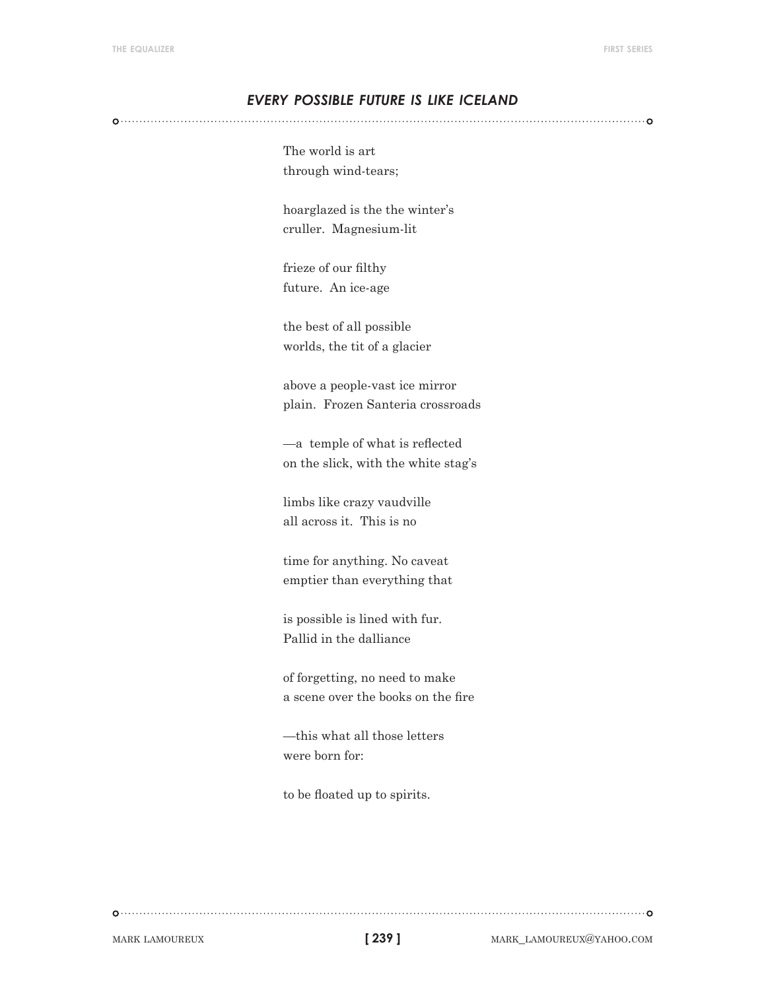## *every possible future is like iceland*

The world is art through wind-tears;

hoarglazed is the the winter's cruller. Magnesium-lit

frieze of our filthy future. An ice-age

the best of all possible worlds, the tit of a glacier

above a people-vast ice mirror plain. Frozen Santeria crossroads

—a temple of what is reflected on the slick, with the white stag's

limbs like crazy vaudville all across it. This is no

time for anything. No caveat emptier than everything that

is possible is lined with fur. Pallid in the dalliance

of forgetting, no need to make a scene over the books on the fire

—this what all those letters were born for:

to be floated up to spirits.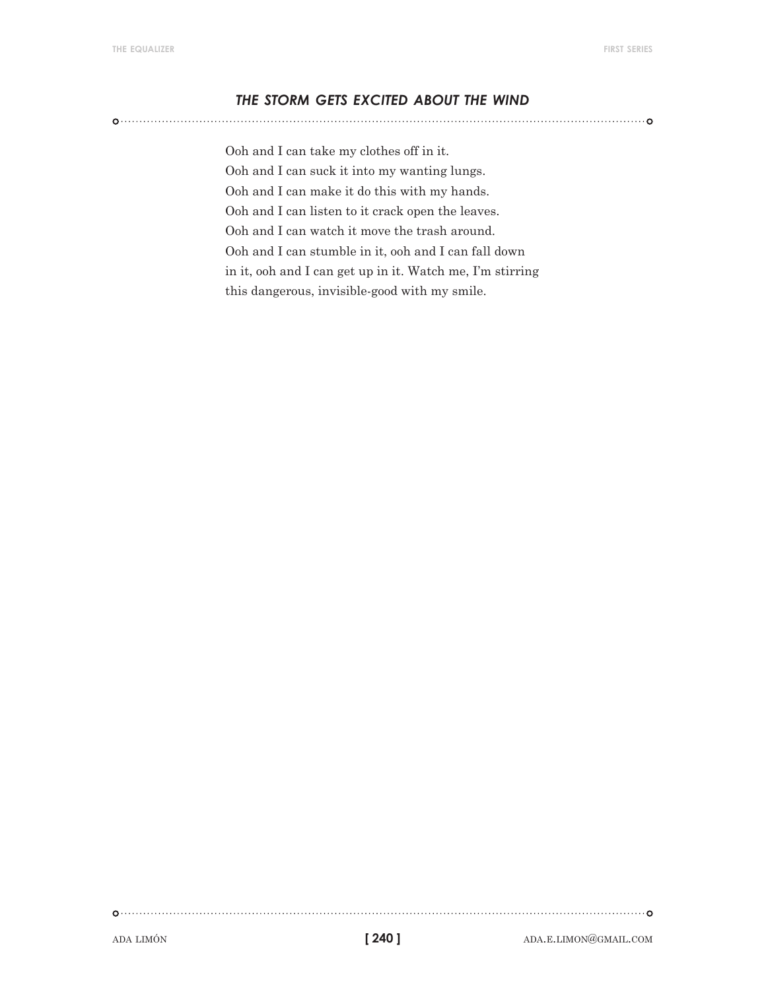## *the storm gets excited about the wind*

Ooh and I can take my clothes off in it. Ooh and I can suck it into my wanting lungs. Ooh and I can make it do this with my hands. Ooh and I can listen to it crack open the leaves. Ooh and I can watch it move the trash around. Ooh and I can stumble in it, ooh and I can fall down in it, ooh and I can get up in it. Watch me, I'm stirring this dangerous, invisible-good with my smile.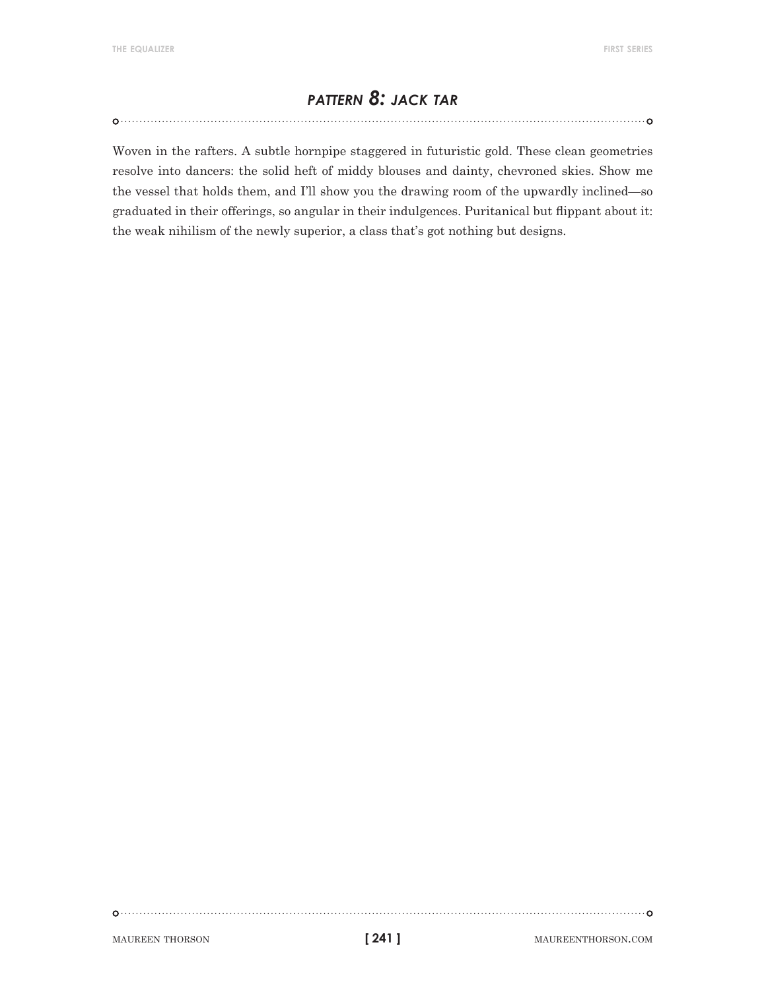# *pattern 8: jack tar*

Woven in the rafters. A subtle hornpipe staggered in futuristic gold. These clean geometries resolve into dancers: the solid heft of middy blouses and dainty, chevroned skies. Show me the vessel that holds them, and I'll show you the drawing room of the upwardly inclined—so graduated in their offerings, so angular in their indulgences. Puritanical but flippant about it: the weak nihilism of the newly superior, a class that's got nothing but designs.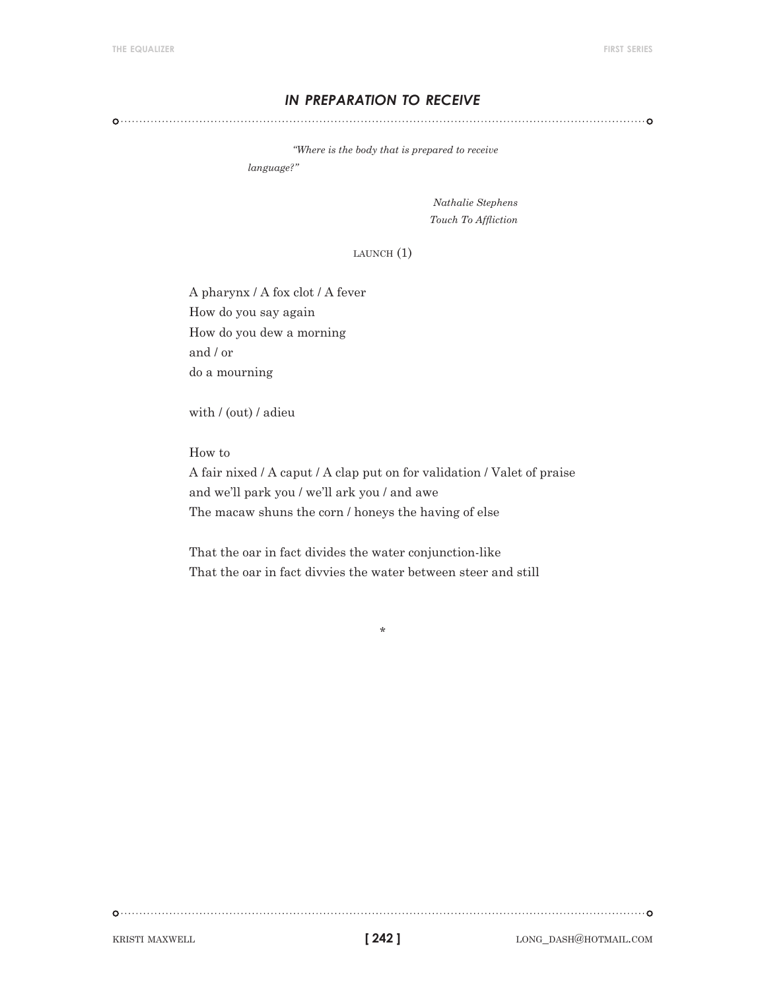## *in preparation to receive*

*"Where is the body that is prepared to receive* 

*language?"* 

*Nathalie Stephens Touch To Affliction*

 $L$ AUNCH $(1)$ 

A pharynx / A fox clot / A fever How do you say again How do you dew a morning and / or do a mourning

with / (out) / adieu

How to

A fair nixed / A caput / A clap put on for validation / Valet of praise and we'll park you / we'll ark you / and awe The macaw shuns the corn / honeys the having of else

\*

That the oar in fact divides the water conjunction-like That the oar in fact divvies the water between steer and still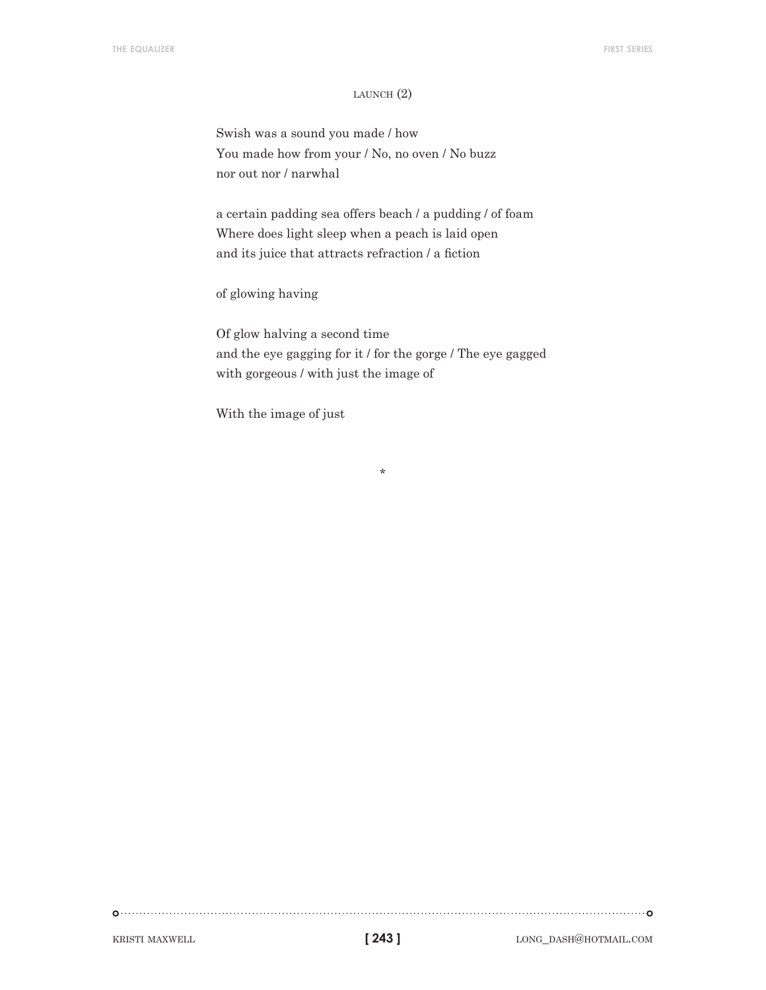#### LAUNCH $(2)$

Swish was a sound you made / how You made how from your / No, no oven / No buzz nor out nor / narwhal

a certain padding sea offers beach / a pudding / of foam Where does light sleep when a peach is laid open and its juice that attracts refraction / a fiction

of glowing having

Of glow halving a second time and the eye gagging for it / for the gorge / The eye gagged with gorgeous / with just the image of

\*

With the image of just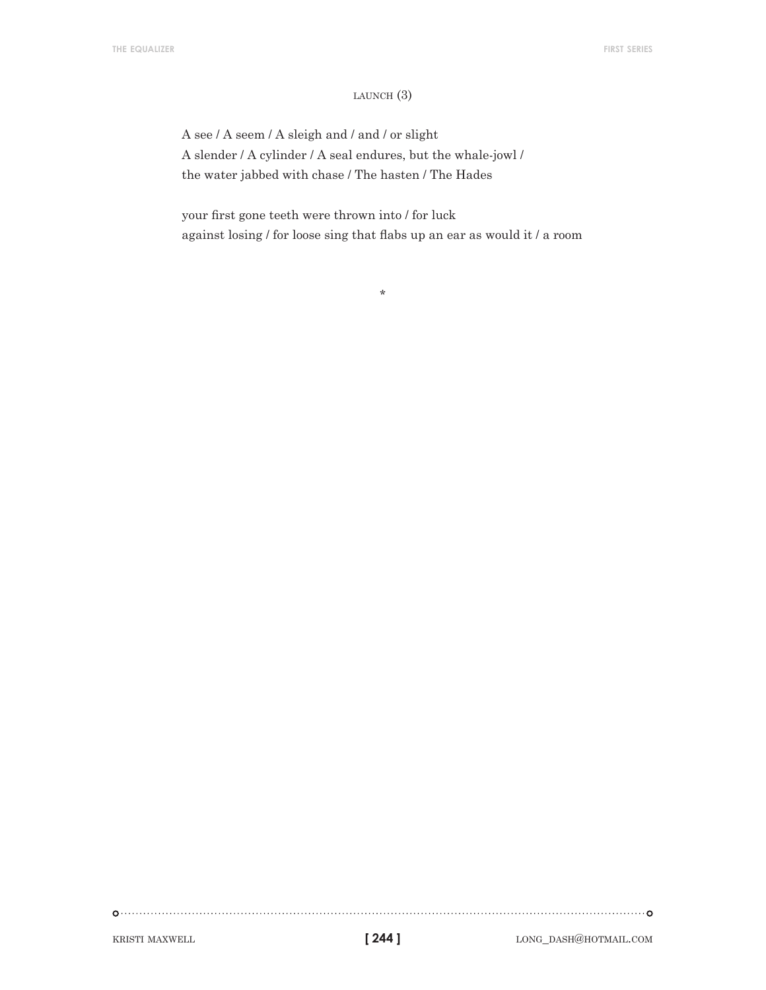#### launch (3)

A see / A seem / A sleigh and / and / or slight A slender / A cylinder / A seal endures, but the whale-jowl / the water jabbed with chase / The hasten / The Hades

your first gone teeth were thrown into / for luck against losing / for loose sing that flabs up an ear as would it / a room

\*

**[ 244 ]**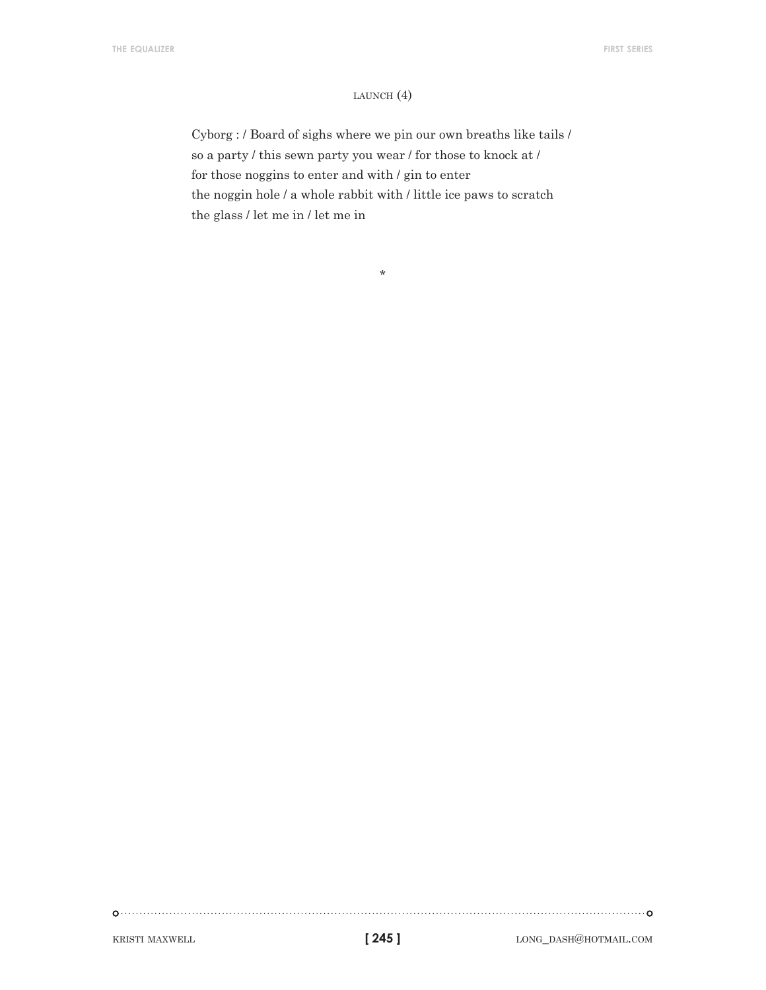#### launch (4)

Cyborg : / Board of sighs where we pin our own breaths like tails / so a party / this sewn party you wear / for those to knock at / for those noggins to enter and with / gin to enter the noggin hole / a whole rabbit with / little ice paws to scratch the glass / let me in / let me in

\*

**[ 245 ]**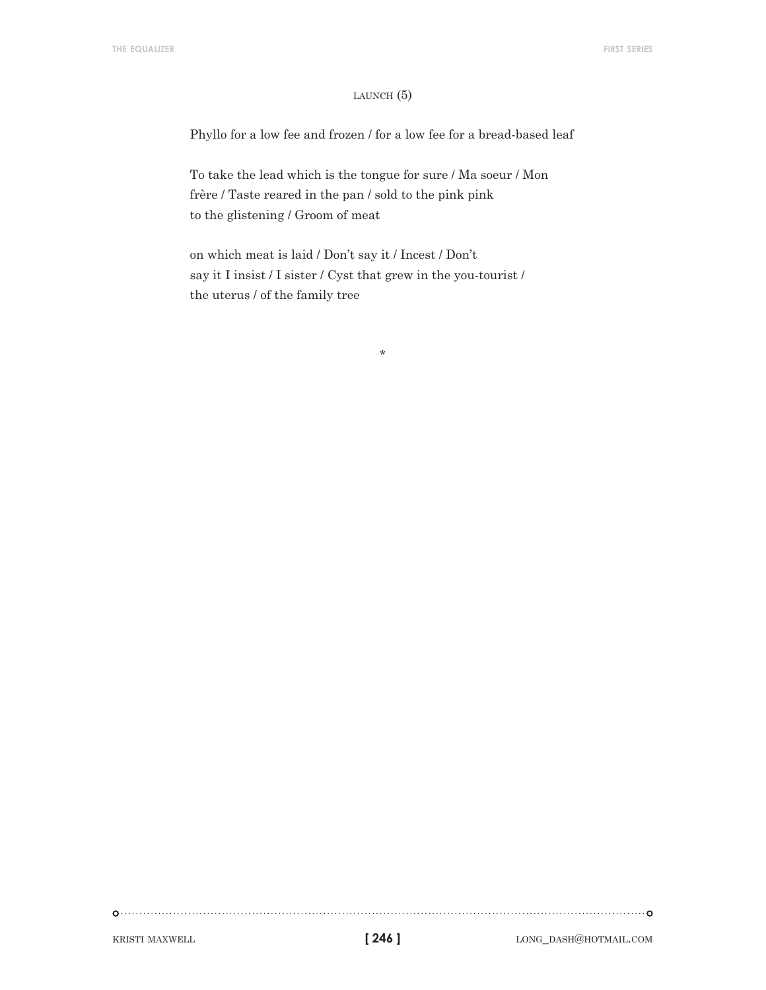#### LAUNCH $(5)$

Phyllo for a low fee and frozen / for a low fee for a bread-based leaf

To take the lead which is the tongue for sure / Ma soeur / Mon frère / Taste reared in the pan / sold to the pink pink to the glistening / Groom of meat

on which meat is laid / Don't say it / Incest / Don't say it I insist / I sister / Cyst that grew in the you-tourist / the uterus / of the family tree

\*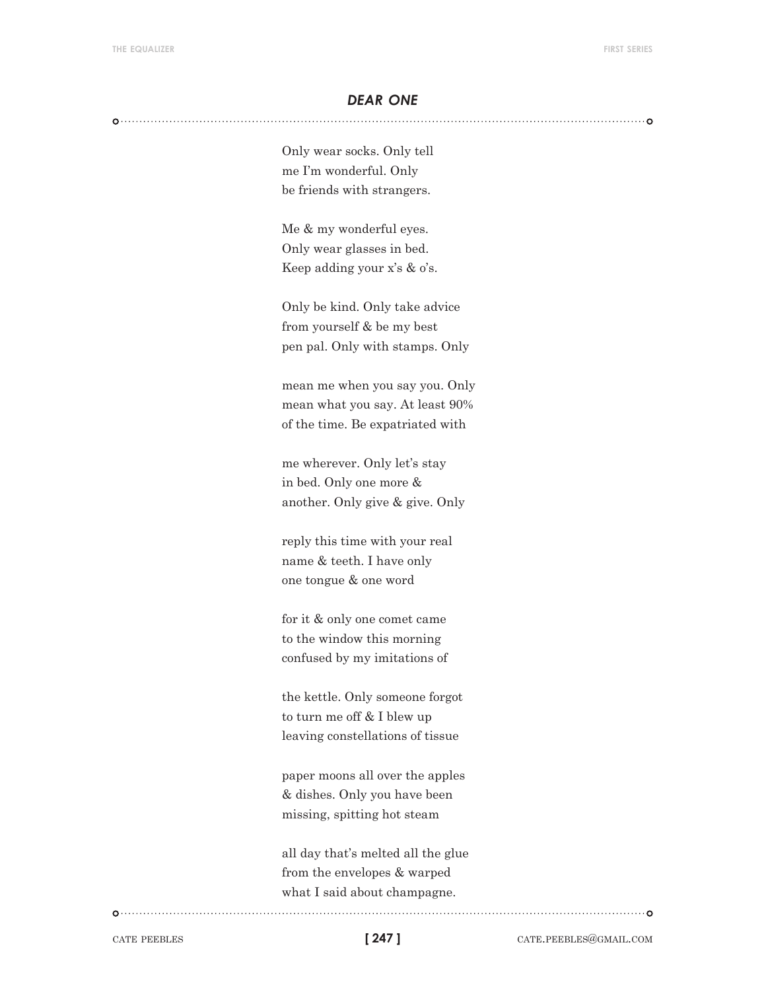#### *dear one*

Only wear socks. Only tell me I'm wonderful. Only be friends with strangers.

Me & my wonderful eyes. Only wear glasses in bed. Keep adding your x's & o's.

Only be kind. Only take advice from yourself & be my best pen pal. Only with stamps. Only

mean me when you say you. Only mean what you say. At least 90% of the time. Be expatriated with

me wherever. Only let's stay in bed. Only one more & another. Only give & give. Only

reply this time with your real name & teeth. I have only one tongue & one word

for it & only one comet came to the window this morning confused by my imitations of

the kettle. Only someone forgot to turn me off & I blew up leaving constellations of tissue

paper moons all over the apples & dishes. Only you have been missing, spitting hot steam

all day that's melted all the glue from the envelopes & warped what I said about champagne.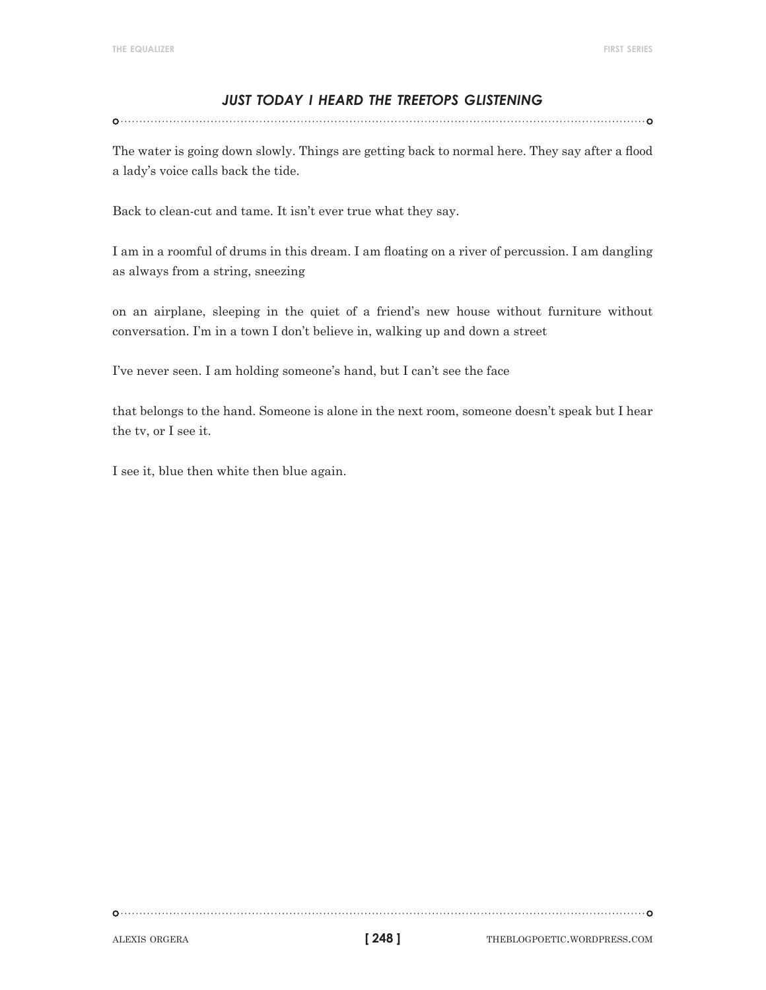# *just today i heard the treetops glistening*

The water is going down slowly. Things are getting back to normal here. They say after a flood a lady's voice calls back the tide.

Back to clean-cut and tame. It isn't ever true what they say.

I am in a roomful of drums in this dream. I am floating on a river of percussion. I am dangling as always from a string, sneezing

on an airplane, sleeping in the quiet of a friend's new house without furniture without conversation. I'm in a town I don't believe in, walking up and down a street

I've never seen. I am holding someone's hand, but I can't see the face

that belongs to the hand. Someone is alone in the next room, someone doesn't speak but I hear the tv, or I see it.

I see it, blue then white then blue again.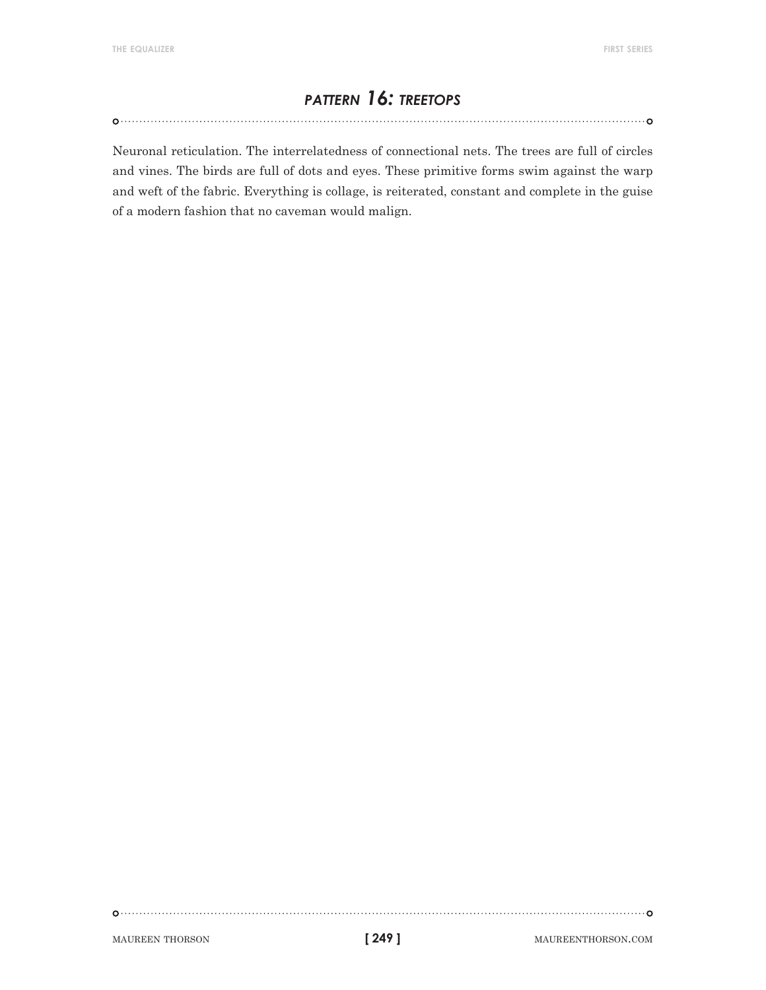# *pattern 16: treetops*

Neuronal reticulation. The interrelatedness of connectional nets. The trees are full of circles and vines. The birds are full of dots and eyes. These primitive forms swim against the warp and weft of the fabric. Everything is collage, is reiterated, constant and complete in the guise of a modern fashion that no caveman would malign.

**[ 249 ]**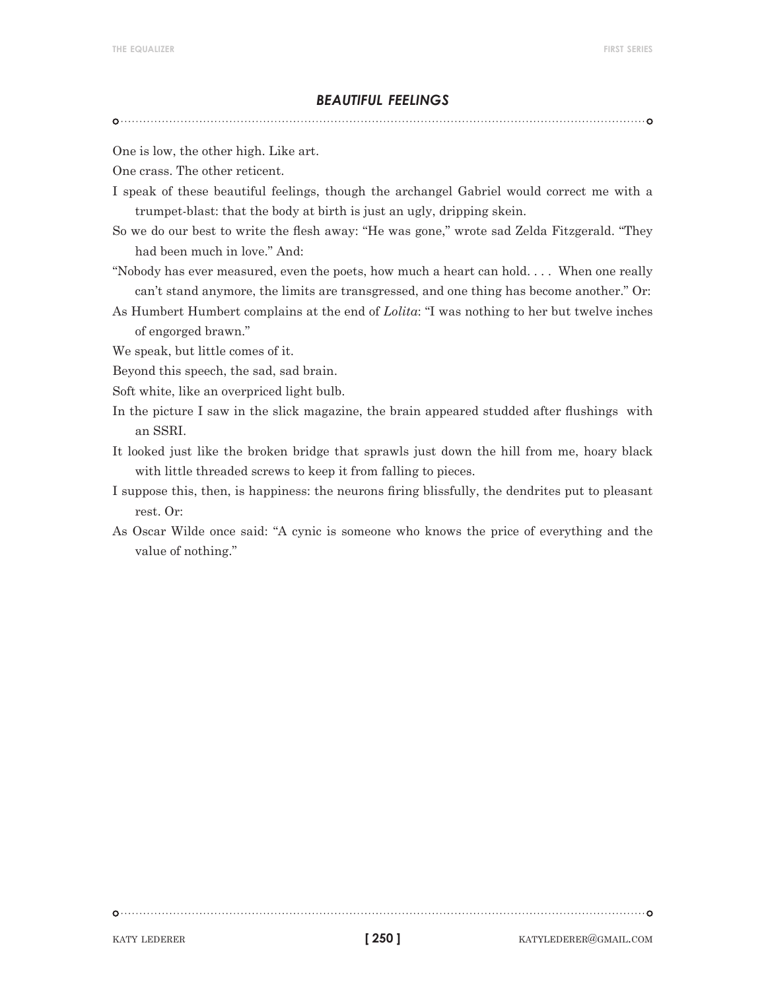#### *beautiful feelings*

One is low, the other high. Like art.

One crass. The other reticent.

- I speak of these beautiful feelings, though the archangel Gabriel would correct me with a trumpet-blast: that the body at birth is just an ugly, dripping skein.
- So we do our best to write the flesh away: "He was gone," wrote sad Zelda Fitzgerald. "They had been much in love." And:
- "Nobody has ever measured, even the poets, how much a heart can hold. . . . When one really can't stand anymore, the limits are transgressed, and one thing has become another." Or:
- As Humbert Humbert complains at the end of *Lolita*: "I was nothing to her but twelve inches of engorged brawn."

We speak, but little comes of it.

- Beyond this speech, the sad, sad brain.
- Soft white, like an overpriced light bulb.
- In the picture I saw in the slick magazine, the brain appeared studded after flushings with an SSRI.
- It looked just like the broken bridge that sprawls just down the hill from me, hoary black with little threaded screws to keep it from falling to pieces.
- I suppose this, then, is happiness: the neurons firing blissfully, the dendrites put to pleasant rest. Or:
- As Oscar Wilde once said: "A cynic is someone who knows the price of everything and the value of nothing."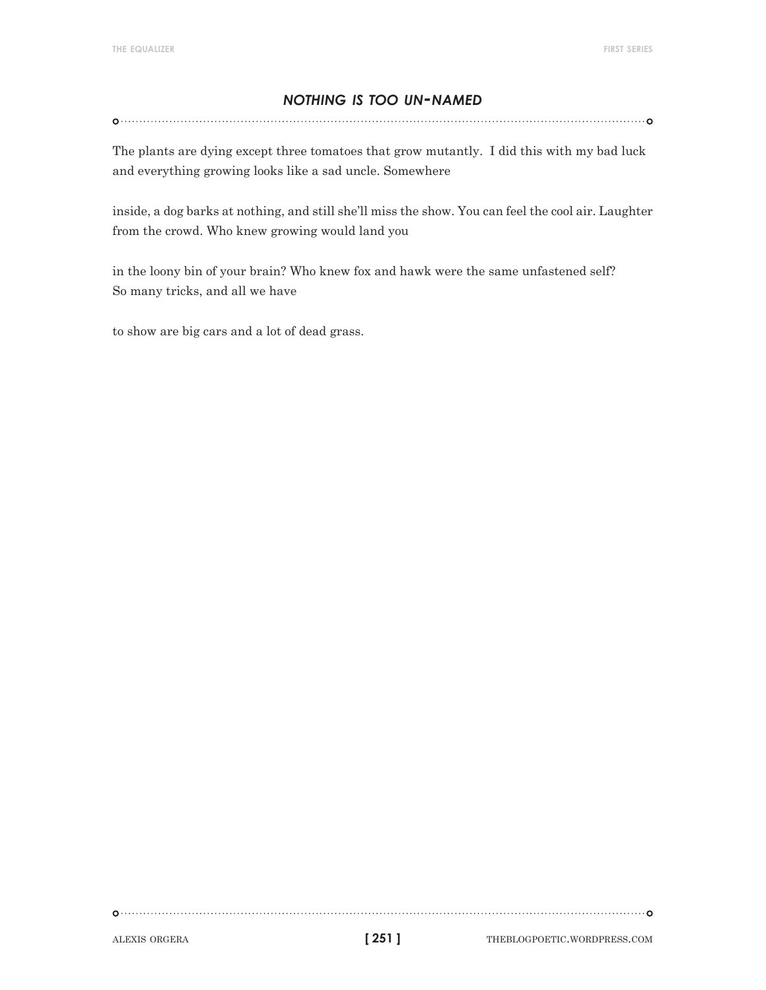# *nothing is too un-named*

The plants are dying except three tomatoes that grow mutantly. I did this with my bad luck and everything growing looks like a sad uncle. Somewhere

inside, a dog barks at nothing, and still she'll miss the show. You can feel the cool air. Laughter from the crowd. Who knew growing would land you

in the loony bin of your brain? Who knew fox and hawk were the same unfastened self? So many tricks, and all we have

to show are big cars and a lot of dead grass.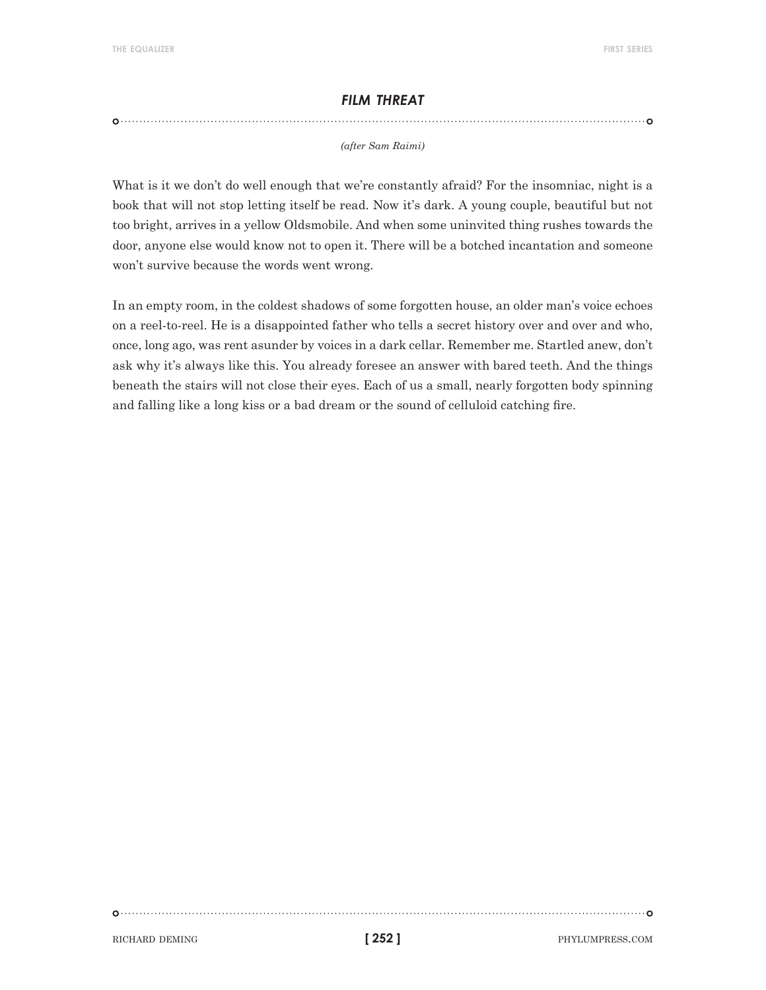## *film threat*

#### *(after Sam Raimi)*

What is it we don't do well enough that we're constantly afraid? For the insomniac, night is a book that will not stop letting itself be read. Now it's dark. A young couple, beautiful but not too bright, arrives in a yellow Oldsmobile. And when some uninvited thing rushes towards the door, anyone else would know not to open it. There will be a botched incantation and someone won't survive because the words went wrong.

In an empty room, in the coldest shadows of some forgotten house, an older man's voice echoes on a reel-to-reel. He is a disappointed father who tells a secret history over and over and who, once, long ago, was rent asunder by voices in a dark cellar. Remember me. Startled anew, don't ask why it's always like this. You already foresee an answer with bared teeth. And the things beneath the stairs will not close their eyes. Each of us a small, nearly forgotten body spinning and falling like a long kiss or a bad dream or the sound of celluloid catching fire.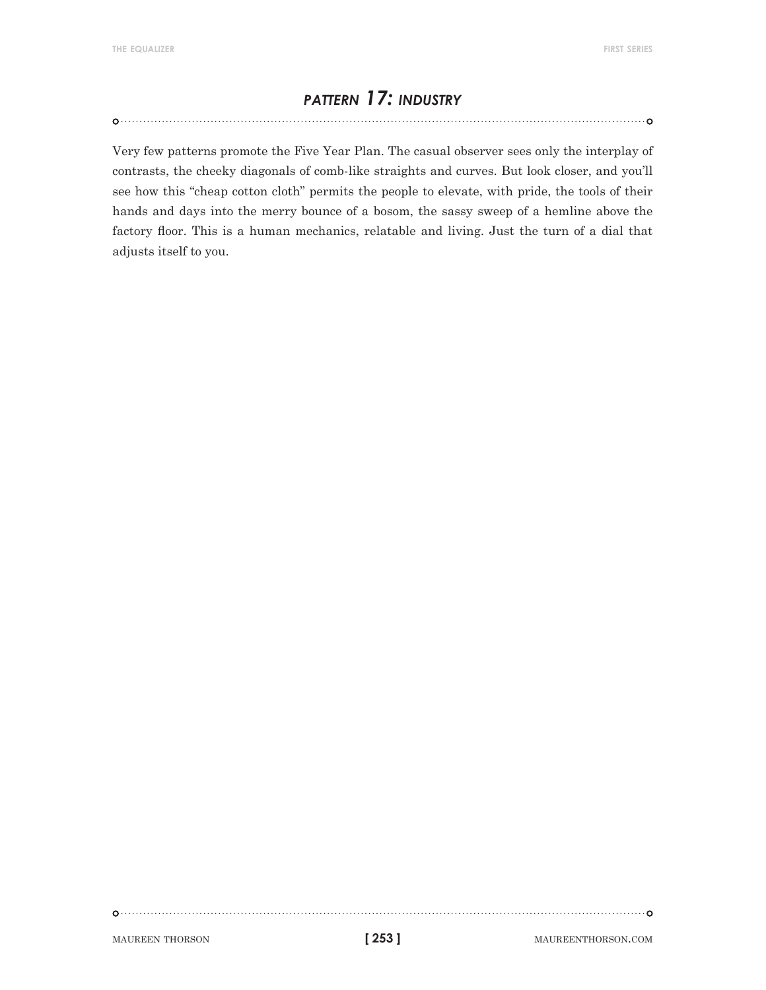# *pattern 17: industry*

Very few patterns promote the Five Year Plan. The casual observer sees only the interplay of

contrasts, the cheeky diagonals of comb-like straights and curves. But look closer, and you'll see how this "cheap cotton cloth" permits the people to elevate, with pride, the tools of their hands and days into the merry bounce of a bosom, the sassy sweep of a hemline above the factory floor. This is a human mechanics, relatable and living. Just the turn of a dial that adjusts itself to you.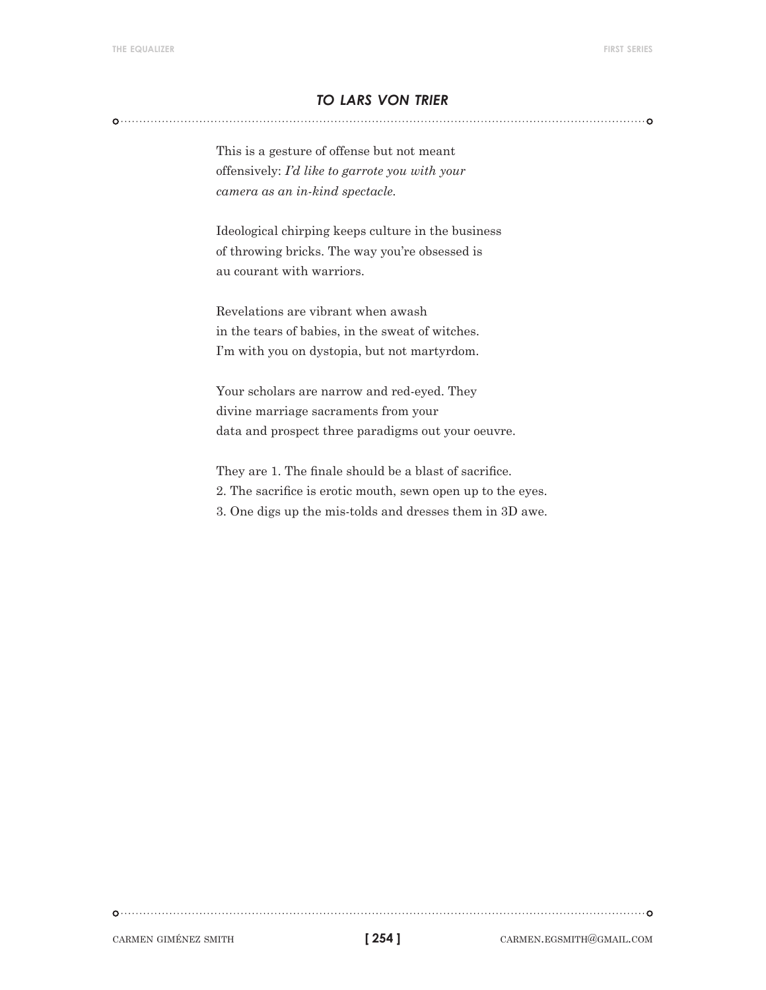# *to lars von trier*

This is a gesture of offense but not meant offensively: *I'd like to garrote you with your camera as an in-kind spectacle.*

Ideological chirping keeps culture in the business of throwing bricks. The way you're obsessed is au courant with warriors.

Revelations are vibrant when awash in the tears of babies, in the sweat of witches. I'm with you on dystopia, but not martyrdom.

Your scholars are narrow and red-eyed. They divine marriage sacraments from your data and prospect three paradigms out your oeuvre.

They are 1. The finale should be a blast of sacrifice. 2. The sacrifice is erotic mouth, sewn open up to the eyes. 3. One digs up the mis-tolds and dresses them in 3D awe.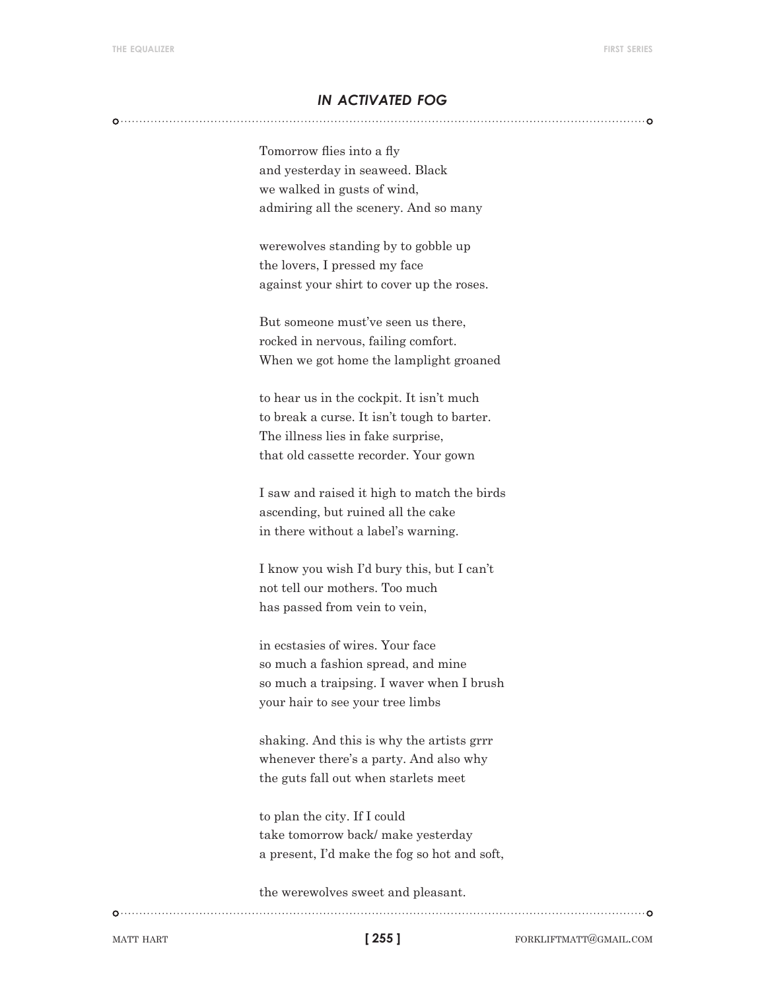## *in activated fog*

Tomorrow flies into a fly and yesterday in seaweed. Black we walked in gusts of wind, admiring all the scenery. And so many

werewolves standing by to gobble up the lovers, I pressed my face against your shirt to cover up the roses.

But someone must've seen us there, rocked in nervous, failing comfort. When we got home the lamplight groaned

to hear us in the cockpit. It isn't much to break a curse. It isn't tough to barter. The illness lies in fake surprise, that old cassette recorder. Your gown

I saw and raised it high to match the birds ascending, but ruined all the cake in there without a label's warning.

I know you wish I'd bury this, but I can't not tell our mothers. Too much has passed from vein to vein,

in ecstasies of wires. Your face so much a fashion spread, and mine so much a traipsing. I waver when I brush your hair to see your tree limbs

shaking. And this is why the artists grrr whenever there's a party. And also why the guts fall out when starlets meet

to plan the city. If I could take tomorrow back/ make yesterday a present, I'd make the fog so hot and soft,

the werewolves sweet and pleasant.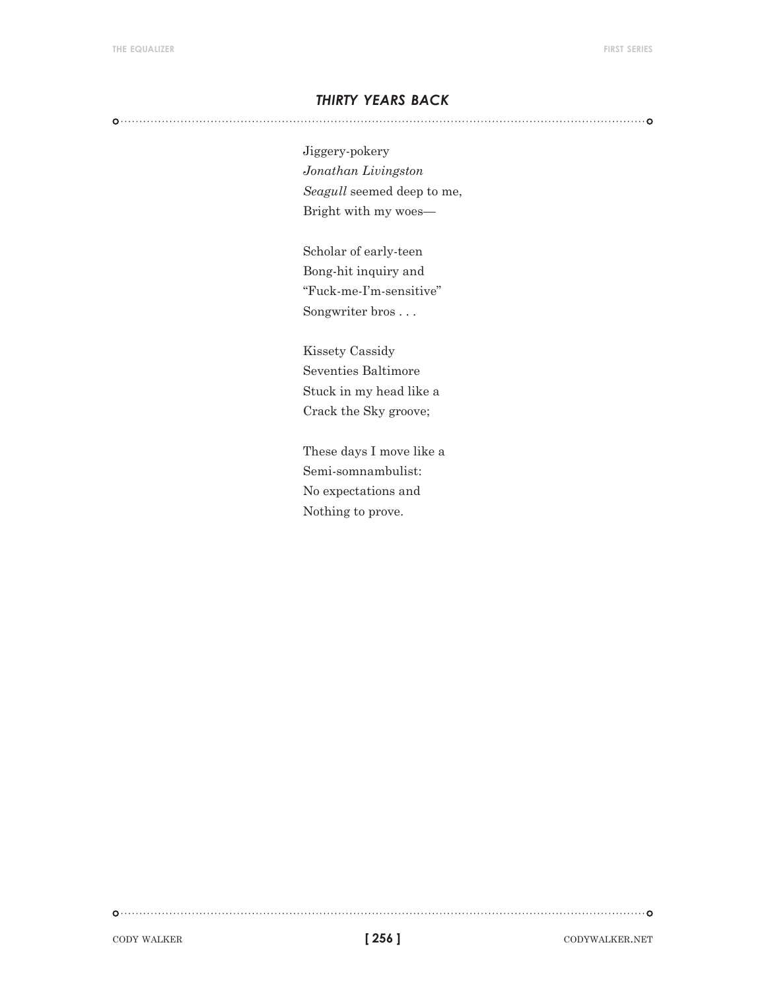## *thirty years back*

Jiggery-pokery *Jonathan Livingston Seagull* seemed deep to me, Bright with my woes—

Scholar of early-teen Bong-hit inquiry and "Fuck-me-I'm-sensitive" Songwriter bros . . .

Kissety Cassidy Seventies Baltimore Stuck in my head like a Crack the Sky groove;

These days I move like a Semi-somnambulist: No expectations and Nothing to prove.

cody walker. The codywalker codywalker codywalker.net